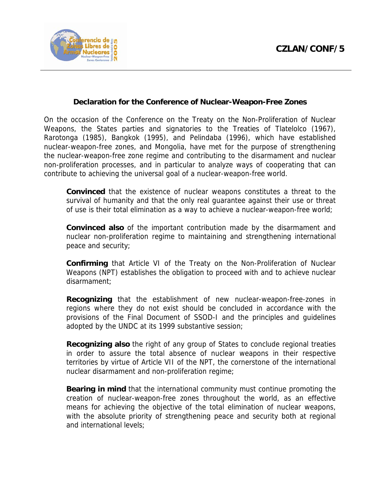

## **Declaration for the Conference of Nuclear-Weapon-Free Zones**

On the occasion of the Conference on the Treaty on the Non-Proliferation of Nuclear Weapons, the States parties and signatories to the Treaties of Tlatelolco (1967), Rarotonga (1985), Bangkok (1995), and Pelindaba (1996), which have established nuclear-weapon-free zones, and Mongolia, have met for the purpose of strengthening the nuclear-weapon-free zone regime and contributing to the disarmament and nuclear non-proliferation processes, and in particular to analyze ways of cooperating that can contribute to achieving the universal goal of a nuclear-weapon-free world.

 **Convinced** that the existence of nuclear weapons constitutes a threat to the survival of humanity and that the only real guarantee against their use or threat of use is their total elimination as a way to achieve a nuclear-weapon-free world;

 **Convinced also** of the important contribution made by the disarmament and nuclear non-proliferation regime to maintaining and strengthening international peace and security;

 **Confirming** that Article VI of the Treaty on the Non-Proliferation of Nuclear Weapons (NPT) establishes the obligation to proceed with and to achieve nuclear disarmament;

 **Recognizing** that the establishment of new nuclear-weapon-free-zones in regions where they do not exist should be concluded in accordance with the provisions of the Final Document of SSOD-I and the principles and guidelines adopted by the UNDC at its 1999 substantive session;

 **Recognizing also** the right of any group of States to conclude regional treaties in order to assure the total absence of nuclear weapons in their respective territories by virtue of Article VII of the NPT, the cornerstone of the international nuclear disarmament and non-proliferation regime;

 **Bearing in mind** that the international community must continue promoting the creation of nuclear-weapon-free zones throughout the world, as an effective means for achieving the objective of the total elimination of nuclear weapons, with the absolute priority of strengthening peace and security both at regional and international levels;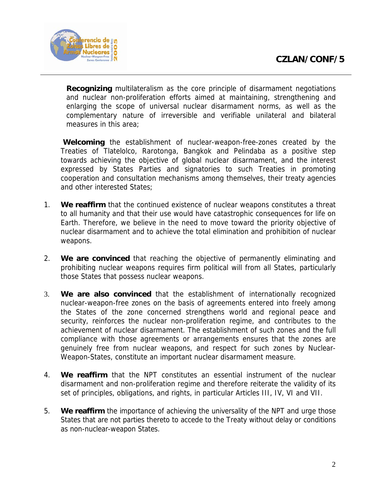

 **Recognizing** multilateralism as the core principle of disarmament negotiations and nuclear non-proliferation efforts aimed at maintaining, strengthening and enlarging the scope of universal nuclear disarmament norms, as well as the complementary nature of irreversible and verifiable unilateral and bilateral measures in this area;

 **Welcoming** the establishment of nuclear-weapon-free-zones created by the Treaties of Tlatelolco, Rarotonga, Bangkok and Pelindaba as a positive step towards achieving the objective of global nuclear disarmament, and the interest expressed by States Parties and signatories to such Treaties in promoting cooperation and consultation mechanisms among themselves, their treaty agencies and other interested States;

- 1. **We reaffirm** that the continued existence of nuclear weapons constitutes a threat to all humanity and that their use would have catastrophic consequences for life on Earth. Therefore, we believe in the need to move toward the priority objective of nuclear disarmament and to achieve the total elimination and prohibition of nuclear weapons.
- 2. **We are convinced** that reaching the objective of permanently eliminating and prohibiting nuclear weapons requires firm political will from all States, particularly those States that possess nuclear weapons.
- 3. **We are also convinced** that the establishment of internationally recognized nuclear-weapon-free zones on the basis of agreements entered into freely among the States of the zone concerned strengthens world and regional peace and security, reinforces the nuclear non-proliferation regime, and contributes to the achievement of nuclear disarmament. The establishment of such zones and the full compliance with those agreements or arrangements ensures that the zones are genuinely free from nuclear weapons, and respect for such zones by Nuclear-Weapon-States, constitute an important nuclear disarmament measure.
- 4. **We reaffirm** that the NPT constitutes an essential instrument of the nuclear disarmament and non-proliferation regime and therefore reiterate the validity of its set of principles, obligations, and rights, in particular Articles III, IV, VI and VII.
- 5. **We reaffirm** the importance of achieving the universality of the NPT and urge those States that are not parties thereto to accede to the Treaty without delay or conditions as non-nuclear-weapon States.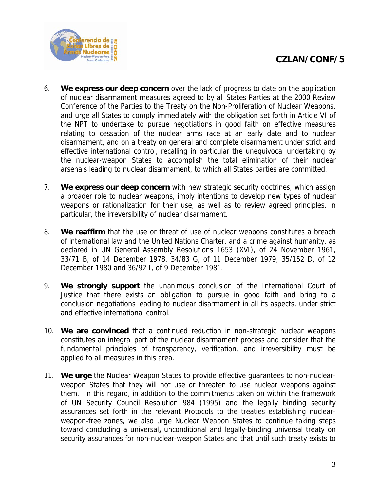

- 6. **We express our deep concern** over the lack of progress to date on the application of nuclear disarmament measures agreed to by all States Parties at the 2000 Review Conference of the Parties to the Treaty on the Non-Proliferation of Nuclear Weapons, and urge all States to comply immediately with the obligation set forth in Article VI of the NPT to undertake to pursue negotiations in good faith on effective measures relating to cessation of the nuclear arms race at an early date and to nuclear disarmament, and on a treaty on general and complete disarmament under strict and effective international control, recalling in particular the unequivocal undertaking by the nuclear-weapon States to accomplish the total elimination of their nuclear arsenals leading to nuclear disarmament, to which all States parties are committed.
- 7. **We express our deep concern** with new strategic security doctrines, which assign a broader role to nuclear weapons, imply intentions to develop new types of nuclear weapons or rationalization for their use, as well as to review agreed principles, in particular, the irreversibility of nuclear disarmament.
- 8. **We reaffirm** that the use or threat of use of nuclear weapons constitutes a breach of international law and the United Nations Charter, and a crime against humanity, as declared in UN General Assembly Resolutions 1653 (XVI), of 24 November 1961, 33/71 B, of 14 December 1978, 34/83 G, of 11 December 1979, 35/152 D, of 12 December 1980 and 36/92 I, of 9 December 1981.
- 9. **We strongly support** the unanimous conclusion of the International Court of Justice that there exists an obligation to pursue in good faith and bring to a conclusion negotiations leading to nuclear disarmament in all its aspects, under strict and effective international control.
- 10. **We are convinced** that a continued reduction in non-strategic nuclear weapons constitutes an integral part of the nuclear disarmament process and consider that the fundamental principles of transparency, verification, and irreversibility must be applied to all measures in this area.
- 11. **We urge** the Nuclear Weapon States to provide effective guarantees to non-nuclearweapon States that they will not use or threaten to use nuclear weapons against them. In this regard, in addition to the commitments taken on within the framework of UN Security Council Resolution 984 (1995) and the legally binding security assurances set forth in the relevant Protocols to the treaties establishing nuclearweapon-free zones, we also urge Nuclear Weapon States to continue taking steps toward concluding a universal**,** unconditional and legally-binding universal treaty on security assurances for non-nuclear-weapon States and that until such treaty exists to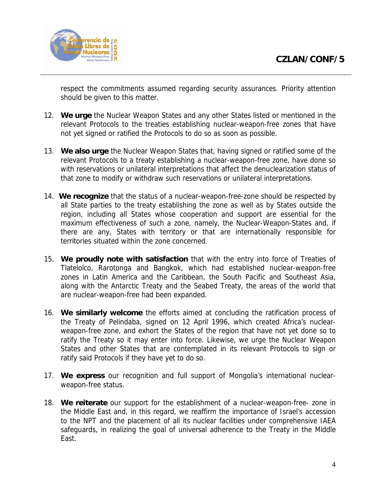

respect the commitments assumed regarding security assurances. Priority attention should be given to this matter.

- 12. **We urge** the Nuclear Weapon States and any other States listed or mentioned in the relevant Protocols to the treaties establishing nuclear-weapon-free zones that have not yet signed or ratified the Protocols to do so as soon as possible.
- 13. **We also urge** the Nuclear Weapon States that, having signed or ratified some of the relevant Protocols to a treaty establishing a nuclear-weapon-free zone, have done so with reservations or unilateral interpretations that affect the denuclearization status of that zone to modify or withdraw such reservations or unilateral interpretations.
- 14. **We recognize** that the status of a nuclear-weapon-free-zone should be respected by all State parties to the treaty establishing the zone as well as by States outside the region, including all States whose cooperation and support are essential for the maximum effectiveness of such a zone, namely, the Nuclear-Weapon-States and, if there are any, States with territory or that are internationally responsible for territories situated within the zone concerned.
- 15. **We proudly note with satisfaction** that with the entry into force of Treaties of Tlatelolco, Rarotonga and Bangkok, which had established nuclear-weapon-free zones in Latin America and the Caribbean, the South Pacific and Southeast Asia, along with the Antarctic Treaty and the Seabed Treaty, the areas of the world that are nuclear-weapon-free had been expanded.
- 16. **We similarly welcome** the efforts aimed at concluding the ratification process of the Treaty of Pelindaba, signed on 12 April 1996, which created Africa's nuclearweapon-free zone, and exhort the States of the region that have not yet done so to ratify the Treaty so it may enter into force. Likewise, we urge the Nuclear Weapon States and other States that are contemplated in its relevant Protocols to sign or ratify said Protocols if they have yet to do so.
- 17. **We express** our recognition and full support of Mongolia's international nuclearweapon-free status.
- 18. **We reiterate** our support for the establishment of a nuclear-weapon-free- zone in the Middle East and, in this regard, we reaffirm the importance of Israel's accession to the NPT and the placement of all its nuclear facilities under comprehensive IAEA safeguards, in realizing the goal of universal adherence to the Treaty in the Middle East.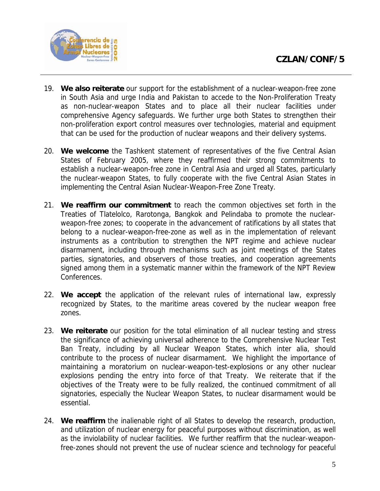

- 19. **We also reiterate** our support for the establishment of a nuclear-weapon-free zone in South Asia and urge India and Pakistan to accede to the Non-Proliferation Treaty as non-nuclear-weapon States and to place all their nuclear facilities under comprehensive Agency safeguards. We further urge both States to strengthen their non-proliferation export control measures over technologies, material and equipment that can be used for the production of nuclear weapons and their delivery systems.
- 20. **We welcome** the Tashkent statement of representatives of the five Central Asian States of February 2005, where they reaffirmed their strong commitments to establish a nuclear-weapon-free zone in Central Asia and urged all States, particularly the nuclear-weapon States, to fully cooperate with the five Central Asian States in implementing the Central Asian Nuclear-Weapon-Free Zone Treaty.
- 21. **We reaffirm our commitment** to reach the common objectives set forth in the Treaties of Tlatelolco, Rarotonga, Bangkok and Pelindaba to promote the nuclearweapon-free zones; to cooperate in the advancement of ratifications by all states that belong to a nuclear-weapon-free-zone as well as in the implementation of relevant instruments as a contribution to strengthen the NPT regime and achieve nuclear disarmament, including through mechanisms such as joint meetings of the States parties, signatories, and observers of those treaties, and cooperation agreements signed among them in a systematic manner within the framework of the NPT Review Conferences.
- 22. **We accept** the application of the relevant rules of international law, expressly recognized by States, to the maritime areas covered by the nuclear weapon free zones.
- 23. **We reiterate** our position for the total elimination of all nuclear testing and stress the significance of achieving universal adherence to the Comprehensive Nuclear Test Ban Treaty, including by all Nuclear Weapon States, which inter alia, should contribute to the process of nuclear disarmament. We highlight the importance of maintaining a moratorium on nuclear-weapon-test-explosions or any other nuclear explosions pending the entry into force of that Treaty. We reiterate that if the objectives of the Treaty were to be fully realized, the continued commitment of all signatories, especially the Nuclear Weapon States, to nuclear disarmament would be essential.
- 24. **We reaffirm** the inalienable right of all States to develop the research, production, and utilization of nuclear energy for peaceful purposes without discrimination, as well as the inviolability of nuclear facilities. We further reaffirm that the nuclear-weaponfree-zones should not prevent the use of nuclear science and technology for peaceful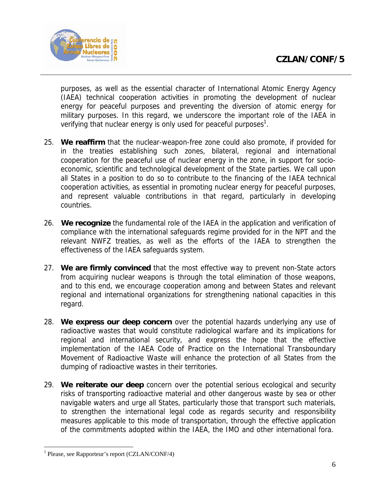

purposes, as well as the essential character of International Atomic Energy Agency (IAEA) technical cooperation activities in promoting the development of nuclear energy for peaceful purposes and preventing the diversion of atomic energy for military purposes. In this regard, we underscore the important role of the IAEA in verifying that nuclear energy is only used for peaceful purposes<sup>1</sup>.

- 25. **We reaffirm** that the nuclear-weapon-free zone could also promote, if provided for in the treaties establishing such zones, bilateral, regional and international cooperation for the peaceful use of nuclear energy in the zone, in support for socioeconomic, scientific and technological development of the State parties. We call upon all States in a position to do so to contribute to the financing of the IAEA technical cooperation activities, as essential in promoting nuclear energy for peaceful purposes, and represent valuable contributions in that regard, particularly in developing countries.
- 26. **We recognize** the fundamental role of the IAEA in the application and verification of compliance with the international safeguards regime provided for in the NPT and the relevant NWFZ treaties, as well as the efforts of the IAEA to strengthen the effectiveness of the IAEA safeguards system.
- 27. **We are firmly convinced** that the most effective way to prevent non-State actors from acquiring nuclear weapons is through the total elimination of those weapons, and to this end, we encourage cooperation among and between States and relevant regional and international organizations for strengthening national capacities in this regard.
- 28. **We express our deep concern** over the potential hazards underlying any use of radioactive wastes that would constitute radiological warfare and its implications for regional and international security, and express the hope that the effective implementation of the IAEA Code of Practice on the International Transboundary Movement of Radioactive Waste will enhance the protection of all States from the dumping of radioactive wastes in their territories.
- 29. **We reiterate our deep** concern over the potential serious ecological and security risks of transporting radioactive material and other dangerous waste by sea or other navigable waters and urge all States, particularly those that transport such materials, to strengthen the international legal code as regards security and responsibility measures applicable to this mode of transportation, through the effective application of the commitments adopted within the IAEA, the IMO and other international fora.

 $\overline{a}$ 

<sup>&</sup>lt;sup>1</sup> Please, see Rapporteur's report (CZLAN/CONF/4)